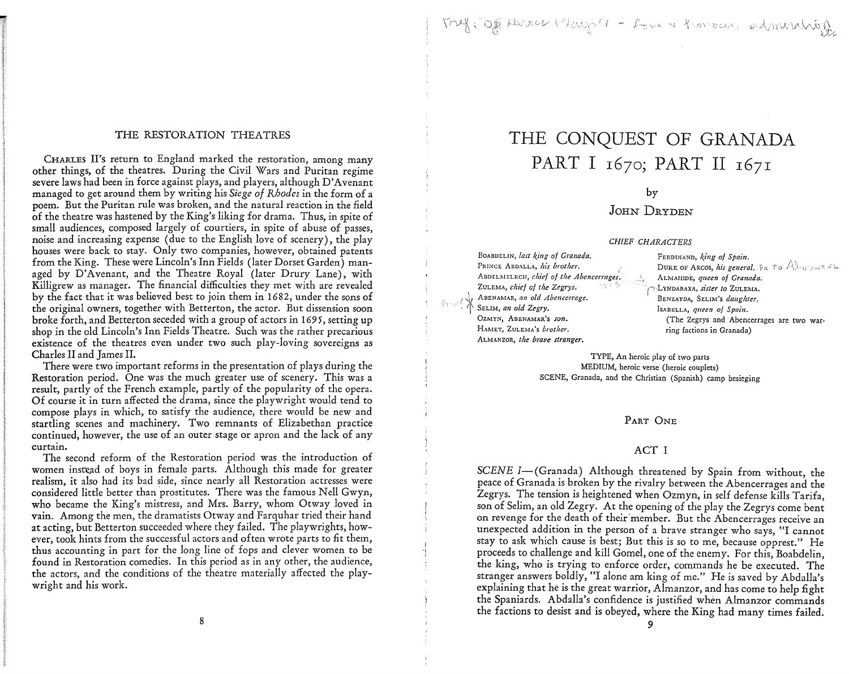## Inf Jog Harry Player - Love & Konson, administration

#### THE RESTORATION THEATRES

CHARLES II's return to England marked the restoration, among many other things, of the theatres. During the Civil Wars and Puritan regime severe laws had been in force against plays, and players, although D'Avenant managed to get around them by writing his *Siege of Rhodes* in the form of a poem. But the Puritan rule was broken, and the natural reaction in the field of the theatre was hastened by the King's liking for drama. Thus, in *spite* of small audiences, composed largely of courtiers, in spite of abuse of passes, noise and increasing expense (due to the English love of scenery), the play houses were back to stay. Only two companies, however, obtained patents from the King. These were Lincoln's Inn Fields (later Dorset Garden) managed by D'Avenant, and the Theatre Royal (later Drury Lane), with Killigrew as manager. The financial difficulties they met with are revealed by the fact that it was believed best to *join* them in 1682, under the sons of the original owners, together with Betterton, the actor. But dissension soon broke forth, and Betterton seceded with a group of actors in 169 *5,* setting up shop in the old Lincoln's Inn Fields Theatre. Such was the rather precarious existence of the theatres even under two such play-loving sovereigns as Charles II and James II.

There were two important reforms in the presentation of plays during the Restoration period. One was the much greater use of scenery. This was a result, partly of the French example, partly of the popularity of the opera. Of course it in turn affected the drama, since the playwright would tend to compose plays in which, to satisfy the audience, there would be new and startling scenes and machinery. Two remnants of Elizabethan practice continued, however, the use of an outer stage or apron and the lack of any curtain.

The second reform of the Restoration period was the introduction of women instead of boys in female parts. Although this made for greater realism, it also had its bad side, since nearly all Restoration actresses were considered little better than prostitutes. There was the famous Nell Gwyn, who became the King's mistress, and Mrs. Barry, whom Otway loved in vain. Among the men, the dramatists Otway and Farquhar tried their hand at acting, but Betterton succeeded where they failed. The playwrights, however, took hints from the successful actors and often wrote parts to fit them, thus accounting *in* part for the long line of fops and clever women to be found in Restoration comedies. In this period as in any other, the audience, the actors, and the conditions of the theatre materially affected the playwright and his work.

# THE CONQUEST OF GRANADA PART I 1670; PART II 1671

by

### JOHN DRYDEN

#### *CHIEF CHARACTERS*

BoABDELIN, *last king of Granada.*  PRINCE ABDALLA, *his brother*. ABDELMELECH, *chief of the Abencerrages*. ZULEMA, *chief of the Zegrys.* ABENAMAR, *an old Abencerrage.*<br>SELIM, *an old Zegry*. **0ZMYN, AnENAMAR's** *son.*  l-IAMET, ZULEMA's *brother.*  ALMANZOR, the brave stranger.

I ., ;

FERDINAND, *king of Spain*. DUKE OF ARCOS, *his general.*  $\mathfrak{b}_A$  to  $\mathbb{A}$  arrows  $\mathbb{F}_m$ ALMAHIDE; *queen of Granada. ('':* **.LYNDARAXA,** *sister to* **ZuLEMA.** <sup>1</sup> **BENZAYDA, SELIM's** *daug/Jter.*  IsABELLA, *queen of Spain.*  (The Zegrys and Abencerrages are two warring factions in Granada)

TYPE, An heroic play of two parts MEDIUM, heroic verse (heroic couplets) SCENE, Granada, and the Christian (Spanish) camp besieging

#### PART ONE

#### ACT I

*SCENE I*-(Granada) Although threatened by Spain from without, the peace of Granada is broken by the rivalry between the Abencerrages and the Zegrys. The tension is heightened when Ozmyn, in self defense kills Tarifa, son of Selim, an old Zegry. At the opening of the play the Zegrys come bent on revenge for the death of their member. But the Abencerrages receive an unexpected addition in the person of a brave stranger who says, "I cannot stay to ask which cause is best; But this is so to me, because opprest." He proceeds to challenge and kill Gomel, one of the enemy. For this, Boabdelin, the king, who is trying to enforce order, commands he be executed. The stranger answers boldly, "I alone am king of me." He is saved by Abdalla's explaining that he is the great warrior, Almanzor, and has come to help fight the Spaniards. Abdalla's confidence is justified when Almanzor commands the factions to desist and is obeyed, where the King had many times failed.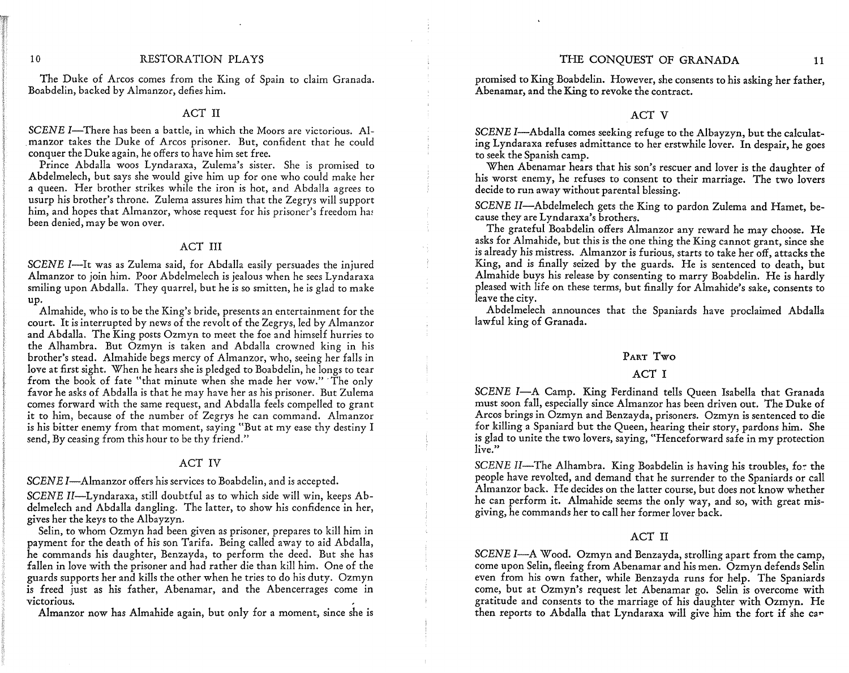#### THE CONQUEST OF GRANADA 11

#### 10 RESTORATION PLAYS

The Duke of Arcos comes from the King of Spain to claim Granada. Boabdelin, backed by Almanzor, defies him.

#### ACT II

*SCENE I*-There has been a battle, in which the Moors are victorious. Al-. manzor takes the Duke of Arcos prisoner. But, confident that he could conquer the Duke again, he offers to have him set free.

Prince Abdalla woos Lyndaraxa, Zulema's sister. She is promised to Abdelmelech, but says she would give him up for one who could make her a queen. Her brother strikes while the iron is hot, and Abdalla agrees to usurp his brother's throne. Zulema assures him that the Zegrys will support him, and hopes that Almanzor, whose request for his prisoner's freedom has been denied, may be won over.

#### ACT III

*SCENE* l-It was as Zulema said, for Abdalla easily persuades the injured Almanzor to join him. Poor Abdelmelech is jealous when he sees Lyndaraxa smiling upon Abdalla. They quarrel, but he is so smitten, he is glad to make up.

Almahide, who is to be the King's bride, presents an entertainment for the court. It is interrupted by news of the revolt of the Zegrys, led by Almanzor and Abdalla. The King posts Ozmyn to meet the foe and himself hurries to the Alhambra. But Ozmyn is taken and Abdalla crowned king in his brother's stead. Almahide begs mercy of Almanzor, who, seeing her falls in love at first sight. When he hears she is pledged to Boabdelin, he longs to tear from the book of fate "that minute when she made her vow." The only favor he asks of Abdalla is that he may have her as his prisoner. But Zulema comes forward with the same request, and Abdalla feels compelled to grant it to him, because of the number of Zegrys he can command. Almanzor is his bitter enemy from that moment, saying "But at my ease thy destiny I send, By ceasing from this hour to be thy friend."

#### ACT IV

SCENE I-Almanzor offers his services to Boabdelin, and is accepted.

*SCENE* II-Lyndaraxa, still doubtful as to which side will win, keeps Abdelmelech and Abdalla dangling. The latter, to show his confidence in her, gives her the keys to the Albayzyn.

Selin, to whom Ozmyn had been given as prisoner, prepares to kill him in payment for the death of his son Tarifa. Being called away to aid Abdalla, he commands his daughter, Benzayda, to perform the deed. But she has fallen in love with the prisoner and had rather die than kill him. One of the guards supports her and kills the other when he tries to do his duty. Ozmyn is freed just as his father, Abenamar, and the Abencerrages come in victorious. victorious.

Almanzor now has Almahide again, but only for a moment, since she is

promised to King Boabdelin. However, she consents to his asking her father, Abenamar, and the King to revoke the contract.

#### ACT V

*SCENE* I-Abdalla comes seeking refuge to the Albayzyn, but the calculating Lyndaraxa refuses admittance to her erstwhile lover. In despair, he goes to seek the Spanish camp.

When Abenamar hears that his son's rescuer and lover is the daughter of his worst enemy, he refuses to consent to their marriage. The two lovers decide to run away without parental blessing.

*SCENE* II-Abdelmelech gets the King to pardon Zulema and Hamet, because they are Lyndaraxa's brothers.

The grateful Boabdelin offers Almanzor any reward he may choose. He asks for Almahide, but this is the one thing the King cannot grant, since she is already his mistress. Almanzor is furious, starts to take her off, attacks the King, and is finally seized by the guards. He is sentenced to death, but Almahide buys his release by consenting to marry Boabdelin. He is hardly pleased with life on these terms, but finally for Almahide's sake, consents to leave the city.

Abdelmelech announces that the Spaniards have proclaimed Abdalla lawful king of Granada.

#### PART Two

#### ACT I

*SCENE I-A* Camp. King Ferdinand tells Queen Isabella that Granada must soon fall, especially since Almanzor has been driven out. The Duke of Arcos brings in Ozmyn and Benzayda, prisoners. Ozmyn is sentenced to die for killing a Spaniard but the Queen, hearing their story, pardons him. She is glad to unite the two lovers, saying, "Henceforward safe in my protection live."

*SCENE II*-The Alhambra. King Boabdelin is having his troubles, for the people have revolted, and demand that he surrender to the Spaniards or call Almanzor back. He decides on the latter course, but does not know whether he can perform it. Almahide seems the only way, and so, with great misgiving, he commands her to call her former lover back.

#### ACT II

*SCENE I-A* Wood. Ozmyn and Benzayda, strolling apart from the camp, come upon Selin, fleeing from Abenamar and his men. Ozmyn defends Selin even from his own father, while Benzayda runs for help. The Spaniards come, but at Ozmyn's request let Abenamar go. Selin is overcome with gratitude and consents to the marriage of his daughter with Ozmyn. He then reports to Abdalla that Lyndaraxa will give him the fort if she car